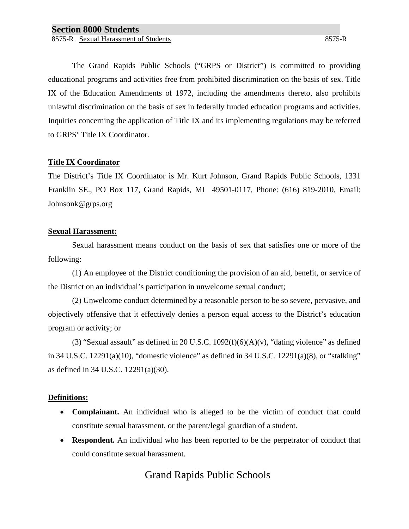The Grand Rapids Public Schools ("GRPS or District") is committed to providing educational programs and activities free from prohibited discrimination on the basis of sex. Title IX of the Education Amendments of 1972, including the amendments thereto, also prohibits unlawful discrimination on the basis of sex in federally funded education programs and activities. Inquiries concerning the application of Title IX and its implementing regulations may be referred to GRPS' Title IX Coordinator.

#### **Title IX Coordinator**

The District's Title IX Coordinator is Mr. Kurt Johnson, Grand Rapids Public Schools, 1331 Franklin SE., PO Box 117, Grand Rapids, MI 49501-0117, Phone: (616) 819-2010, Email: Johnsonk@grps.org

#### **Sexual Harassment:**

Sexual harassment means conduct on the basis of sex that satisfies one or more of the following:

(1) An employee of the District conditioning the provision of an aid, benefit, or service of the District on an individual's participation in unwelcome sexual conduct;

(2) Unwelcome conduct determined by a reasonable person to be so severe, pervasive, and objectively offensive that it effectively denies a person equal access to the District's education program or activity; or

(3) "Sexual assault" as defined in 20 U.S.C.  $1092(f)(6)(A)(v)$ , "dating violence" as defined in 34 U.S.C. 12291(a)(10), "domestic violence" as defined in 34 U.S.C. 12291(a)(8), or "stalking" as defined in 34 U.S.C. 12291(a)(30).

### **Definitions:**

- **Complainant.** An individual who is alleged to be the victim of conduct that could constitute sexual harassment, or the parent/legal guardian of a student.
- **Respondent.** An individual who has been reported to be the perpetrator of conduct that could constitute sexual harassment.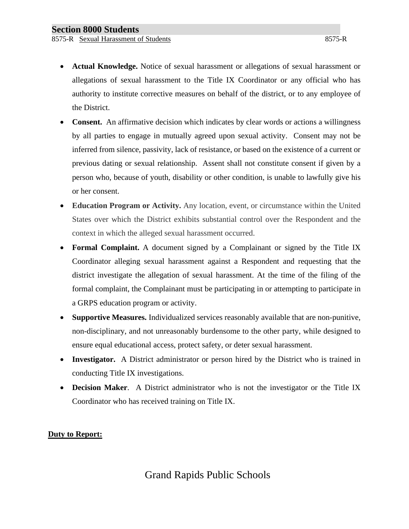- **Actual Knowledge.** Notice of sexual harassment or allegations of sexual harassment or allegations of sexual harassment to the Title IX Coordinator or any official who has authority to institute corrective measures on behalf of the district, or to any employee of the District.
- **Consent.** An affirmative decision which indicates by clear words or actions a willingness by all parties to engage in mutually agreed upon sexual activity. Consent may not be inferred from silence, passivity, lack of resistance, or based on the existence of a current or previous dating or sexual relationship. Assent shall not constitute consent if given by a person who, because of youth, disability or other condition, is unable to lawfully give his or her consent.
- **Education Program or Activity.** Any location, event, or circumstance within the United States over which the District exhibits substantial control over the Respondent and the context in which the alleged sexual harassment occurred.
- **Formal Complaint.** A document signed by a Complainant or signed by the Title IX Coordinator alleging sexual harassment against a Respondent and requesting that the district investigate the allegation of sexual harassment. At the time of the filing of the formal complaint, the Complainant must be participating in or attempting to participate in a GRPS education program or activity.
- **Supportive Measures.** Individualized services reasonably available that are non-punitive, non-disciplinary, and not unreasonably burdensome to the other party, while designed to ensure equal educational access, protect safety, or deter sexual harassment.
- **Investigator.** A District administrator or person hired by the District who is trained in conducting Title IX investigations.
- **Decision Maker**. A District administrator who is not the investigator or the Title IX Coordinator who has received training on Title IX.

### **Duty to Report:**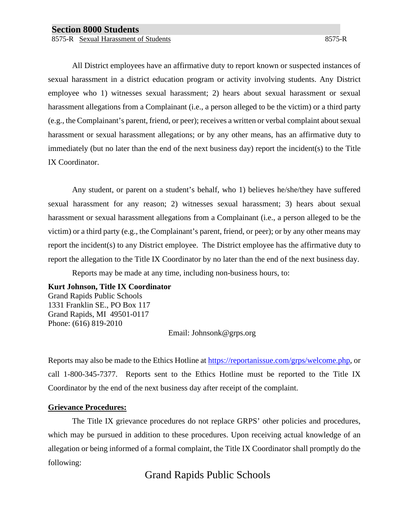8575-R Sexual Harassment of Students 8575-R Sexual Harassment of Students 8575-R

All District employees have an affirmative duty to report known or suspected instances of sexual harassment in a district education program or activity involving students. Any District employee who 1) witnesses sexual harassment; 2) hears about sexual harassment or sexual harassment allegations from a Complainant (i.e., a person alleged to be the victim) or a third party (e.g., the Complainant's parent, friend, or peer); receives a written or verbal complaint about sexual harassment or sexual harassment allegations; or by any other means, has an affirmative duty to immediately (but no later than the end of the next business day) report the incident(s) to the Title IX Coordinator.

Any student, or parent on a student's behalf, who 1) believes he/she/they have suffered sexual harassment for any reason; 2) witnesses sexual harassment; 3) hears about sexual harassment or sexual harassment allegations from a Complainant (i.e., a person alleged to be the victim) or a third party (e.g., the Complainant's parent, friend, or peer); or by any other means may report the incident(s) to any District employee. The District employee has the affirmative duty to report the allegation to the Title IX Coordinator by no later than the end of the next business day.

Reports may be made at any time, including non-business hours, to:

#### **Kurt Johnson, Title IX Coordinator**

Grand Rapids Public Schools 1331 Franklin SE., PO Box 117 Grand Rapids, MI 49501-0117 Phone: (616) 819-2010

Email: Johnsonk@grps.org

Reports may also be made to the Ethics Hotline at [https://reportanissue.com/grps/welcome.php,](https://reportanissue.com/grps/welcome.php) or call 1-800-345-7377. Reports sent to the Ethics Hotline must be reported to the Title IX Coordinator by the end of the next business day after receipt of the complaint.

#### **Grievance Procedures:**

The Title IX grievance procedures do not replace GRPS' other policies and procedures, which may be pursued in addition to these procedures. Upon receiving actual knowledge of an allegation or being informed of a formal complaint, the Title IX Coordinator shall promptly do the following: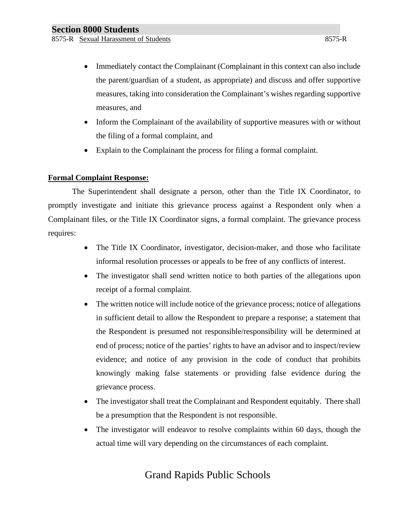- Immediately contact the Complainant (Complainant in this context can also include the parent/guardian of a student, as appropriate) and discuss and offer supportive measures, taking into consideration the Complainant's wishes regarding supportive measures, and
- Inform the Complainant of the availability of supportive measures with or without the filing of a formal complaint, and
- Explain to the Complainant the process for filing a formal complaint.

### **Formal Complaint Response:**

The Superintendent shall designate a person, other than the Title IX Coordinator, to promptly investigate and initiate this grievance process against a Respondent only when a Complainant files, or the Title IX Coordinator signs, a formal complaint. The grievance process requires:

- The Title IX Coordinator, investigator, decision-maker, and those who facilitate informal resolution processes or appeals to be free of any conflicts of interest.
- The investigator shall send written notice to both parties of the allegations upon receipt of a formal complaint.
- The written notice will include notice of the grievance process; notice of allegations in sufficient detail to allow the Respondent to prepare a response; a statement that the Respondent is presumed not responsible/responsibility will be determined at end of process; notice of the parties' rights to have an advisor and to inspect/review evidence; and notice of any provision in the code of conduct that prohibits knowingly making false statements or providing false evidence during the grievance process.
- The investigator shall treat the Complainant and Respondent equitably. There shall be a presumption that the Respondent is not responsible.
- The investigator will endeavor to resolve complaints within 60 days, though the actual time will vary depending on the circumstances of each complaint.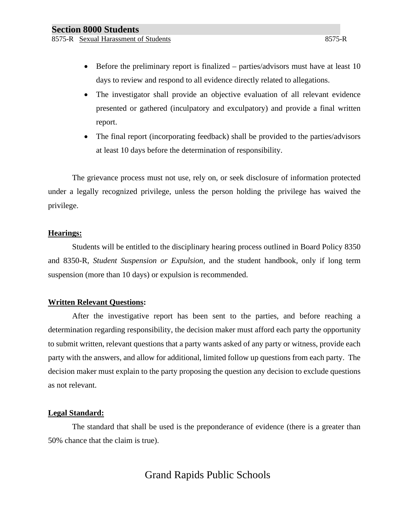- Before the preliminary report is finalized parties/advisors must have at least 10 days to review and respond to all evidence directly related to allegations.
- The investigator shall provide an objective evaluation of all relevant evidence presented or gathered (inculpatory and exculpatory) and provide a final written report.
- The final report (incorporating feedback) shall be provided to the parties/advisors at least 10 days before the determination of responsibility.

The grievance process must not use, rely on, or seek disclosure of information protected under a legally recognized privilege, unless the person holding the privilege has waived the privilege.

#### **Hearings:**

Students will be entitled to the disciplinary hearing process outlined in Board Policy 8350 and 8350-R, *Student Suspension or Expulsion,* and the student handbook, only if long term suspension (more than 10 days) or expulsion is recommended.

#### **Written Relevant Questions:**

After the investigative report has been sent to the parties, and before reaching a determination regarding responsibility, the decision maker must afford each party the opportunity to submit written, relevant questions that a party wants asked of any party or witness, provide each party with the answers, and allow for additional, limited follow up questions from each party. The decision maker must explain to the party proposing the question any decision to exclude questions as not relevant.

#### **Legal Standard:**

The standard that shall be used is the preponderance of evidence (there is a greater than 50% chance that the claim is true).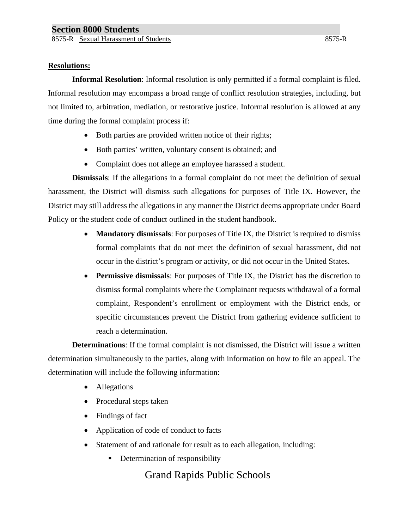#### **Resolutions:**

**Informal Resolution**: Informal resolution is only permitted if a formal complaint is filed. Informal resolution may encompass a broad range of conflict resolution strategies, including, but not limited to, arbitration, mediation, or restorative justice. Informal resolution is allowed at any time during the formal complaint process if:

- Both parties are provided written notice of their rights;
- Both parties' written, voluntary consent is obtained; and
- Complaint does not allege an employee harassed a student.

**Dismissals**: If the allegations in a formal complaint do not meet the definition of sexual harassment, the District will dismiss such allegations for purposes of Title IX. However, the District may still address the allegations in any manner the District deems appropriate under Board Policy or the student code of conduct outlined in the student handbook.

- **Mandatory dismissals**: For purposes of Title IX, the District is required to dismiss formal complaints that do not meet the definition of sexual harassment, did not occur in the district's program or activity, or did not occur in the United States.
- **Permissive dismissals**: For purposes of Title IX, the District has the discretion to dismiss formal complaints where the Complainant requests withdrawal of a formal complaint, Respondent's enrollment or employment with the District ends, or specific circumstances prevent the District from gathering evidence sufficient to reach a determination.

**Determinations**: If the formal complaint is not dismissed, the District will issue a written determination simultaneously to the parties, along with information on how to file an appeal. The determination will include the following information:

- Allegations
- Procedural steps taken
- Findings of fact
- Application of code of conduct to facts
- Statement of and rationale for result as to each allegation, including:
	- **Determination of responsibility**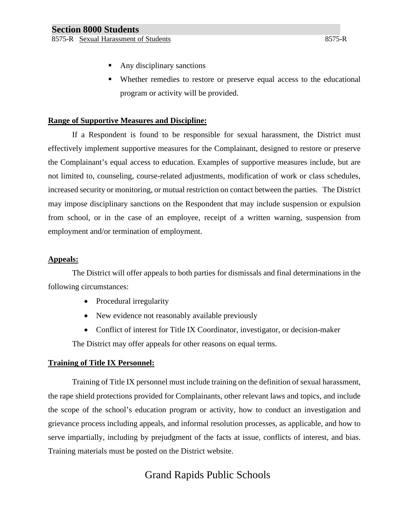- Any disciplinary sanctions
- Whether remedies to restore or preserve equal access to the educational program or activity will be provided.

### **Range of Supportive Measures and Discipline:**

If a Respondent is found to be responsible for sexual harassment, the District must effectively implement supportive measures for the Complainant, designed to restore or preserve the Complainant's equal access to education. Examples of supportive measures include, but are not limited to, counseling, course-related adjustments, modification of work or class schedules, increased security or monitoring, or mutual restriction on contact between the parties. The District may impose disciplinary sanctions on the Respondent that may include suspension or expulsion from school, or in the case of an employee, receipt of a written warning, suspension from employment and/or termination of employment.

#### **Appeals:**

The District will offer appeals to both parties for dismissals and final determinations in the following circumstances:

- Procedural irregularity
- New evidence not reasonably available previously
- Conflict of interest for Title IX Coordinator, investigator, or decision-maker

The District may offer appeals for other reasons on equal terms.

### **Training of Title IX Personnel:**

Training of Title IX personnel must include training on the definition of sexual harassment, the rape shield protections provided for Complainants, other relevant laws and topics, and include the scope of the school's education program or activity, how to conduct an investigation and grievance process including appeals, and informal resolution processes, as applicable, and how to serve impartially, including by prejudgment of the facts at issue, conflicts of interest, and bias. Training materials must be posted on the District website.